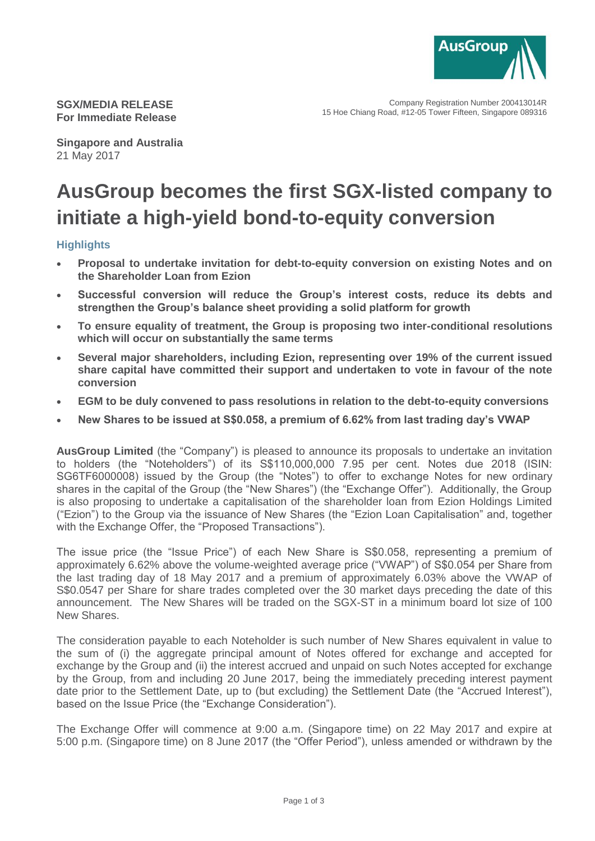

Company Registration Number 200413014R 15 Hoe Chiang Road, #12-05 Tower Fifteen, Singapore 089316

**SGX/MEDIA RELEASE For Immediate Release**

**Singapore and Australia** 21 May 2017

# **AusGroup becomes the first SGX-listed company to initiate a high-yield bond-to-equity conversion**

## **Highlights**

- **Proposal to undertake invitation for debt-to-equity conversion on existing Notes and on the Shareholder Loan from Ezion**
- **Successful conversion will reduce the Group's interest costs, reduce its debts and strengthen the Group's balance sheet providing a solid platform for growth**
- **To ensure equality of treatment, the Group is proposing two inter-conditional resolutions which will occur on substantially the same terms**
- **Several major shareholders, including Ezion, representing over 19% of the current issued share capital have committed their support and undertaken to vote in favour of the note conversion**
- **EGM to be duly convened to pass resolutions in relation to the debt-to-equity conversions**
- **New Shares to be issued at S\$0.058, a premium of 6.62% from last trading day's VWAP**

**AusGroup Limited** (the "Company") is pleased to announce its proposals to undertake an invitation to holders (the "Noteholders") of its S\$110,000,000 7.95 per cent. Notes due 2018 (ISIN: SG6TF6000008) issued by the Group (the "Notes") to offer to exchange Notes for new ordinary shares in the capital of the Group (the "New Shares") (the "Exchange Offer"). Additionally, the Group is also proposing to undertake a capitalisation of the shareholder loan from Ezion Holdings Limited ("Ezion") to the Group via the issuance of New Shares (the "Ezion Loan Capitalisation" and, together with the Exchange Offer, the "Proposed Transactions").

The issue price (the "Issue Price") of each New Share is S\$0.058, representing a premium of approximately 6.62% above the volume-weighted average price ("VWAP") of S\$0.054 per Share from the last trading day of 18 May 2017 and a premium of approximately 6.03% above the VWAP of S\$0.0547 per Share for share trades completed over the 30 market days preceding the date of this announcement. The New Shares will be traded on the SGX-ST in a minimum board lot size of 100 New Shares.

The consideration payable to each Noteholder is such number of New Shares equivalent in value to the sum of (i) the aggregate principal amount of Notes offered for exchange and accepted for exchange by the Group and (ii) the interest accrued and unpaid on such Notes accepted for exchange by the Group, from and including 20 June 2017, being the immediately preceding interest payment date prior to the Settlement Date, up to (but excluding) the Settlement Date (the "Accrued Interest"), based on the Issue Price (the "Exchange Consideration").

The Exchange Offer will commence at 9:00 a.m. (Singapore time) on 22 May 2017 and expire at 5:00 p.m. (Singapore time) on 8 June 2017 (the "Offer Period"), unless amended or withdrawn by the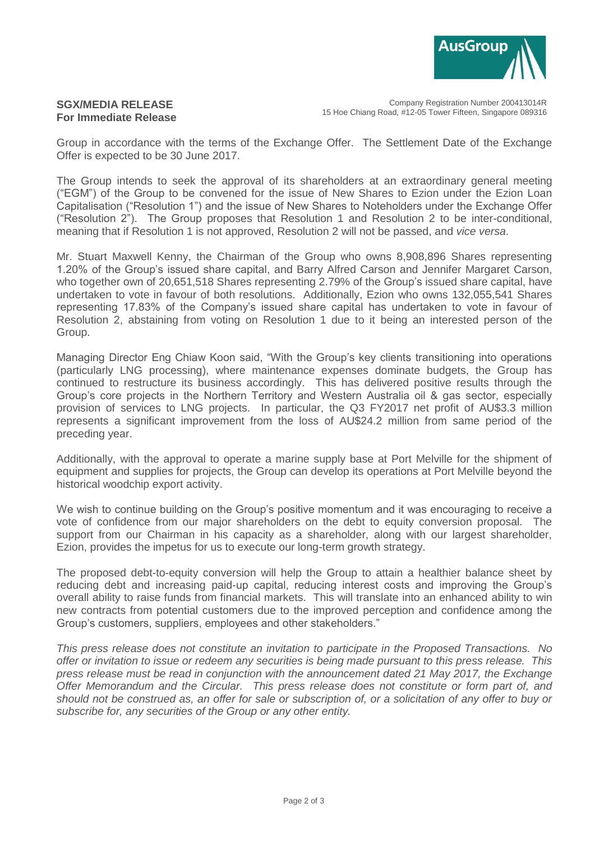

### **SGX/MEDIA RELEASE For Immediate Release**

Company Registration Number 200413014R 15 Hoe Chiang Road, #12-05 Tower Fifteen, Singapore 089316

Group in accordance with the terms of the Exchange Offer. The Settlement Date of the Exchange Offer is expected to be 30 June 2017.

The Group intends to seek the approval of its shareholders at an extraordinary general meeting ("EGM") of the Group to be convened for the issue of New Shares to Ezion under the Ezion Loan Capitalisation ("Resolution 1") and the issue of New Shares to Noteholders under the Exchange Offer ("Resolution 2"). The Group proposes that Resolution 1 and Resolution 2 to be inter-conditional, meaning that if Resolution 1 is not approved, Resolution 2 will not be passed, and *vice versa*.

Mr. Stuart Maxwell Kenny, the Chairman of the Group who owns 8,908,896 Shares representing 1.20% of the Group's issued share capital, and Barry Alfred Carson and Jennifer Margaret Carson, who together own of 20,651,518 Shares representing 2.79% of the Group's issued share capital, have undertaken to vote in favour of both resolutions. Additionally, Ezion who owns 132,055,541 Shares representing 17.83% of the Company's issued share capital has undertaken to vote in favour of Resolution 2, abstaining from voting on Resolution 1 due to it being an interested person of the Group.

Managing Director Eng Chiaw Koon said, "With the Group's key clients transitioning into operations (particularly LNG processing), where maintenance expenses dominate budgets, the Group has continued to restructure its business accordingly. This has delivered positive results through the Group's core projects in the Northern Territory and Western Australia oil & gas sector, especially provision of services to LNG projects. In particular, the Q3 FY2017 net profit of AU\$3.3 million represents a significant improvement from the loss of AU\$24.2 million from same period of the preceding year.

Additionally, with the approval to operate a marine supply base at Port Melville for the shipment of equipment and supplies for projects, the Group can develop its operations at Port Melville beyond the historical woodchip export activity.

We wish to continue building on the Group's positive momentum and it was encouraging to receive a vote of confidence from our major shareholders on the debt to equity conversion proposal. The support from our Chairman in his capacity as a shareholder, along with our largest shareholder, Ezion, provides the impetus for us to execute our long-term growth strategy.

The proposed debt-to-equity conversion will help the Group to attain a healthier balance sheet by reducing debt and increasing paid-up capital, reducing interest costs and improving the Group's overall ability to raise funds from financial markets. This will translate into an enhanced ability to win new contracts from potential customers due to the improved perception and confidence among the Group's customers, suppliers, employees and other stakeholders."

*This press release does not constitute an invitation to participate in the Proposed Transactions. No offer or invitation to issue or redeem any securities is being made pursuant to this press release. This press release must be read in conjunction with the announcement dated 21 May 2017, the Exchange Offer Memorandum and the Circular. This press release does not constitute or form part of, and should not be construed as, an offer for sale or subscription of, or a solicitation of any offer to buy or subscribe for, any securities of the Group or any other entity.*